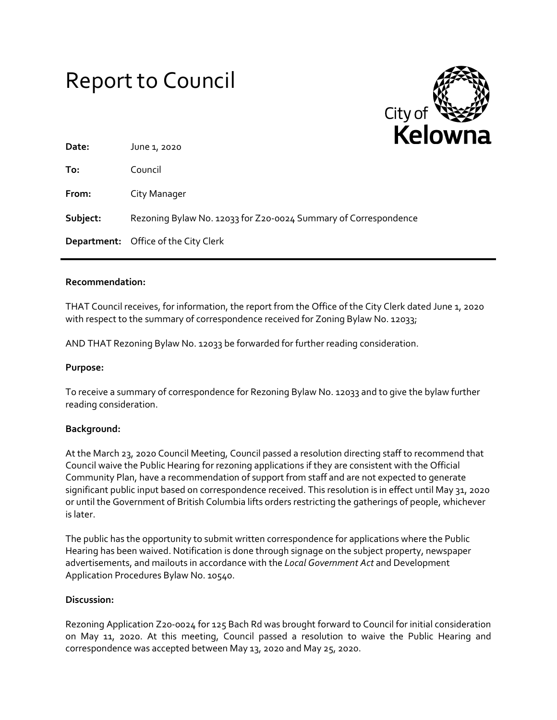# Report to Council



| Date:    | ---<br>June 1, 2020                                             |
|----------|-----------------------------------------------------------------|
| To:      | Council                                                         |
| From:    | City Manager                                                    |
| Subject: | Rezoning Bylaw No. 12033 for Z20-0024 Summary of Correspondence |
|          | <b>Department:</b> Office of the City Clerk                     |

## **Recommendation:**

THAT Council receives, for information, the report from the Office of the City Clerk dated June 1, 2020 with respect to the summary of correspondence received for Zoning Bylaw No. 12033;

AND THAT Rezoning Bylaw No. 12033 be forwarded for further reading consideration.

#### **Purpose:**

To receive a summary of correspondence for Rezoning Bylaw No. 12033 and to give the bylaw further reading consideration.

#### **Background:**

At the March 23, 2020 Council Meeting, Council passed a resolution directing staff to recommend that Council waive the Public Hearing for rezoning applications if they are consistent with the Official Community Plan, have a recommendation of support from staff and are not expected to generate significant public input based on correspondence received. This resolution is in effect until May 31, 2020 or until the Government of British Columbia lifts orders restricting the gatherings of people, whichever is later.

The public has the opportunity to submit written correspondence for applications where the Public Hearing has been waived. Notification is done through signage on the subject property, newspaper advertisements, and mailouts in accordance with the *Local Government Act* and Development Application Procedures Bylaw No. 10540.

#### **Discussion:**

Rezoning Application Z20-0024 for 125 Bach Rd was brought forward to Council for initial consideration on May 11, 2020. At this meeting, Council passed a resolution to waive the Public Hearing and correspondence was accepted between May 13, 2020 and May 25, 2020.